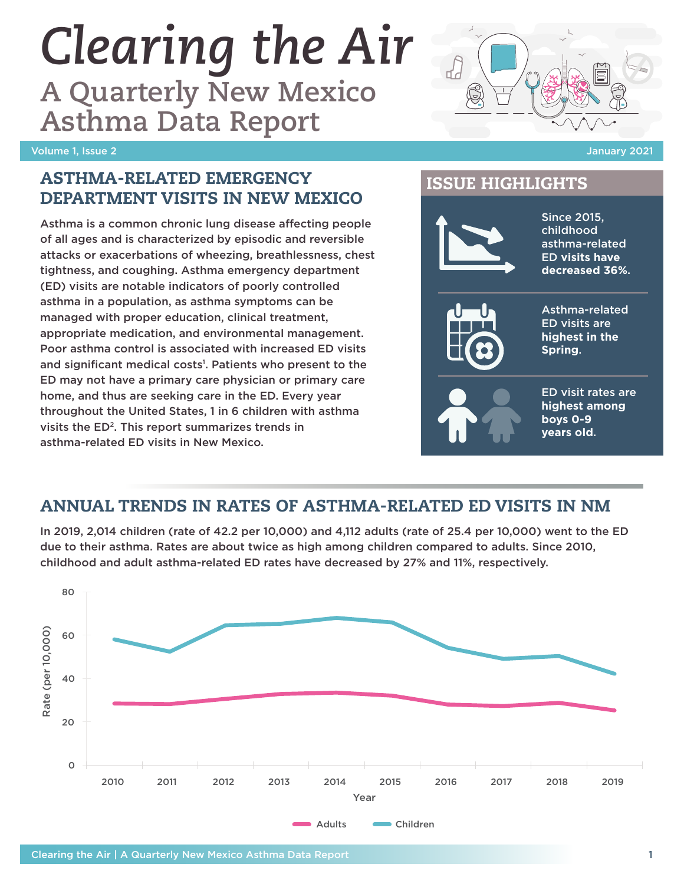# *Clearing the Air*

**A Quarterly New Mexico Asthma Data Report**

#### Volume 1, Issue 2 January 2021



# ISSUE HIGHLIGHTS

## ASTHMA-RELATED EMERGENCY DEPARTMENT VISITS IN NEW MEXICO

Asthma is a common chronic lung disease affecting people of all ages and is characterized by episodic and reversible attacks or exacerbations of wheezing, breathlessness, chest tightness, and coughing. Asthma emergency department (ED) visits are notable indicators of poorly controlled asthma in a population, as asthma symptoms can be managed with proper education, clinical treatment, appropriate medication, and environmental management. Poor asthma control is associated with increased ED visits and significant medical costs<sup>1</sup>. Patients who present to the ED may not have a primary care physician or primary care home, and thus are seeking care in the ED. Every year throughout the United States, 1 in 6 children with asthma visits the ED2. This report summarizes trends in asthma-related ED visits in New Mexico.



# ANNUAL TRENDS IN RATES OF ASTHMA-RELATED ED VISITS IN NM

In 2019, 2,014 children (rate of 42.2 per 10,000) and 4,112 adults (rate of 25.4 per 10,000) went to the ED due to their asthma. Rates are about twice as high among children compared to adults. Since 2010, childhood and adult asthma-related ED rates have decreased by 27% and 11%, respectively.

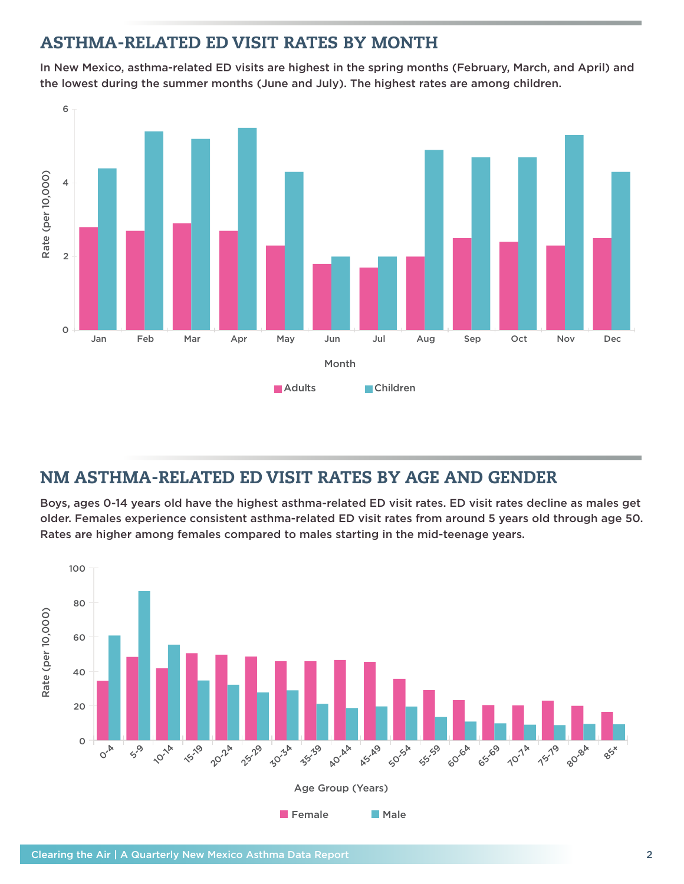## ASTHMA-RELATED ED VISIT RATES BY MONTH

In New Mexico, asthma-related ED visits are highest in the spring months (February, March, and April) and the lowest during the summer months (June and July). The highest rates are among children.



## NM ASTHMA-RELATED ED VISIT RATES BY AGE AND GENDER

Boys, ages 0-14 years old have the highest asthma-related ED visit rates. ED visit rates decline as males get older. Females experience consistent asthma-related ED visit rates from around 5 years old through age 50. Rates are higher among females compared to males starting in the mid-teenage years.

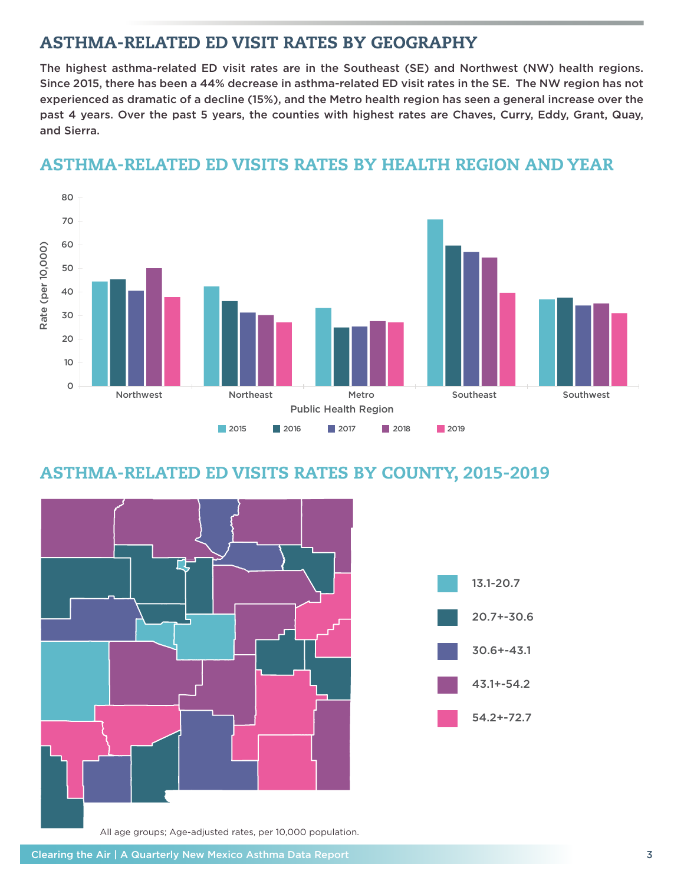## ASTHMA-RELATED ED VISIT RATES BY GEOGRAPHY

The highest asthma-related ED visit rates are in the Southeast (SE) and Northwest (NW) health regions. Since 2015, there has been a 44% decrease in asthma-related ED visit rates in the SE. The NW region has not experienced as dramatic of a decline (15%), and the Metro health region has seen a general increase over the past 4 years. Over the past 5 years, the counties with highest rates are Chaves, Curry, Eddy, Grant, Quay, and Sierra.



### ASTHMA-RELATED ED VISITS RATES BY HEALTH REGION AND YEAR

## ASTHMA-RELATED ED VISITS RATES BY COUNTY, 2015-2019